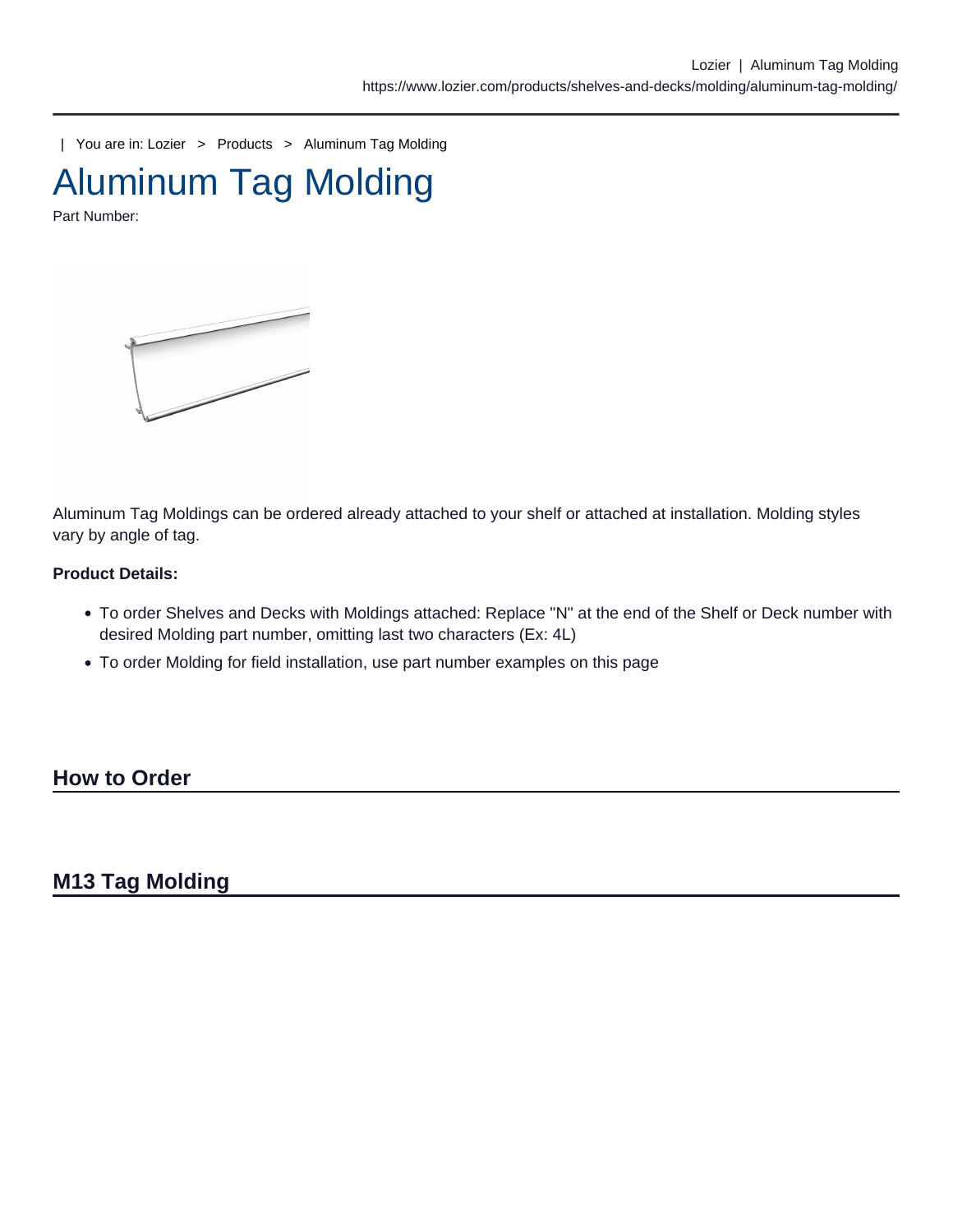| You are in: [Lozier](https://www.lozier.com) > [Products](https://www.lozier.com/products/) > [Aluminum Tag Molding](https://www.lozier.com/products/shelves-and-decks/molding/aluminum-tag-molding/)

Aluminum Tag Molding

Part Number:

Aluminum Tag Moldings can be ordered already attached to your shelf or attached at installation. Molding styles vary by angle of tag.

Product Details:

- To order Shelves and Decks with Moldings attached: Replace "N" at the end of the Shelf or Deck number with desired Molding part number, omitting last two characters (Ex: 4L)
- To order Molding for field installation, use part number examples on this page

How to Order

M13 Tag Molding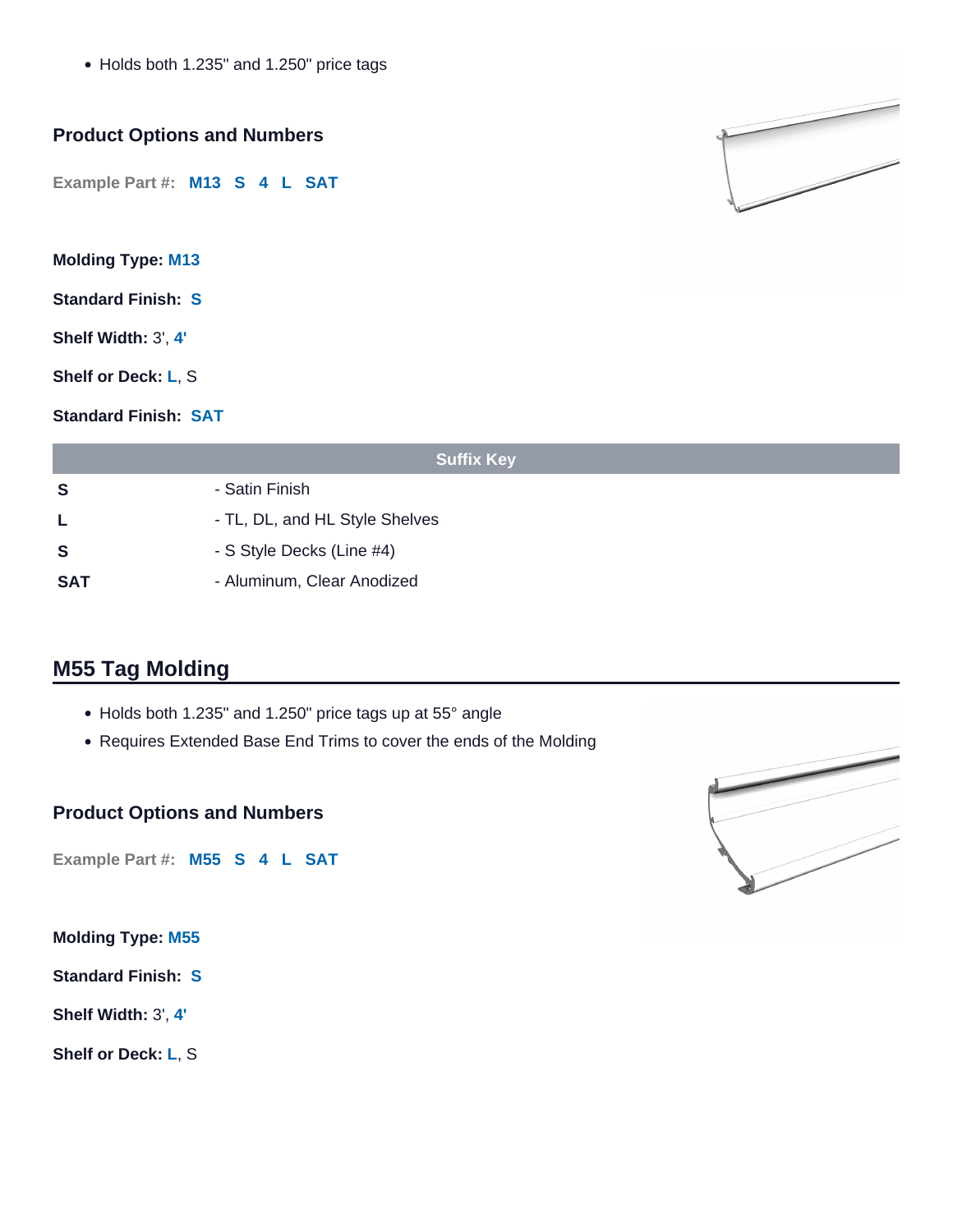• Holds both 1.235" and 1.250" price tags

## **Product Options and Numbers**

**Example Part #: M13 S 4 L SAT** 

**Molding Type: M13**

**Standard Finish: S**

**Shelf Width:** 3', **4'**

**Shelf or Deck: L**, S

**Standard Finish: SAT**

| <b>Suffix Key</b> |                                |  |
|-------------------|--------------------------------|--|
| S                 | - Satin Finish                 |  |
| L.                | - TL, DL, and HL Style Shelves |  |
| <b>S</b>          | - S Style Decks (Line #4)      |  |
| SAT               | - Aluminum, Clear Anodized     |  |

# **M55 Tag Molding**

- Holds both 1.235" and 1.250" price tags up at 55° angle
- Requires Extended Base End Trims to cover the ends of the Molding

### **Product Options and Numbers**

**Example Part #: M55 S 4 L SAT** 

**Molding Type: M55**

**Standard Finish: S**

**Shelf Width:** 3', **4'**

**Shelf or Deck: L**, S



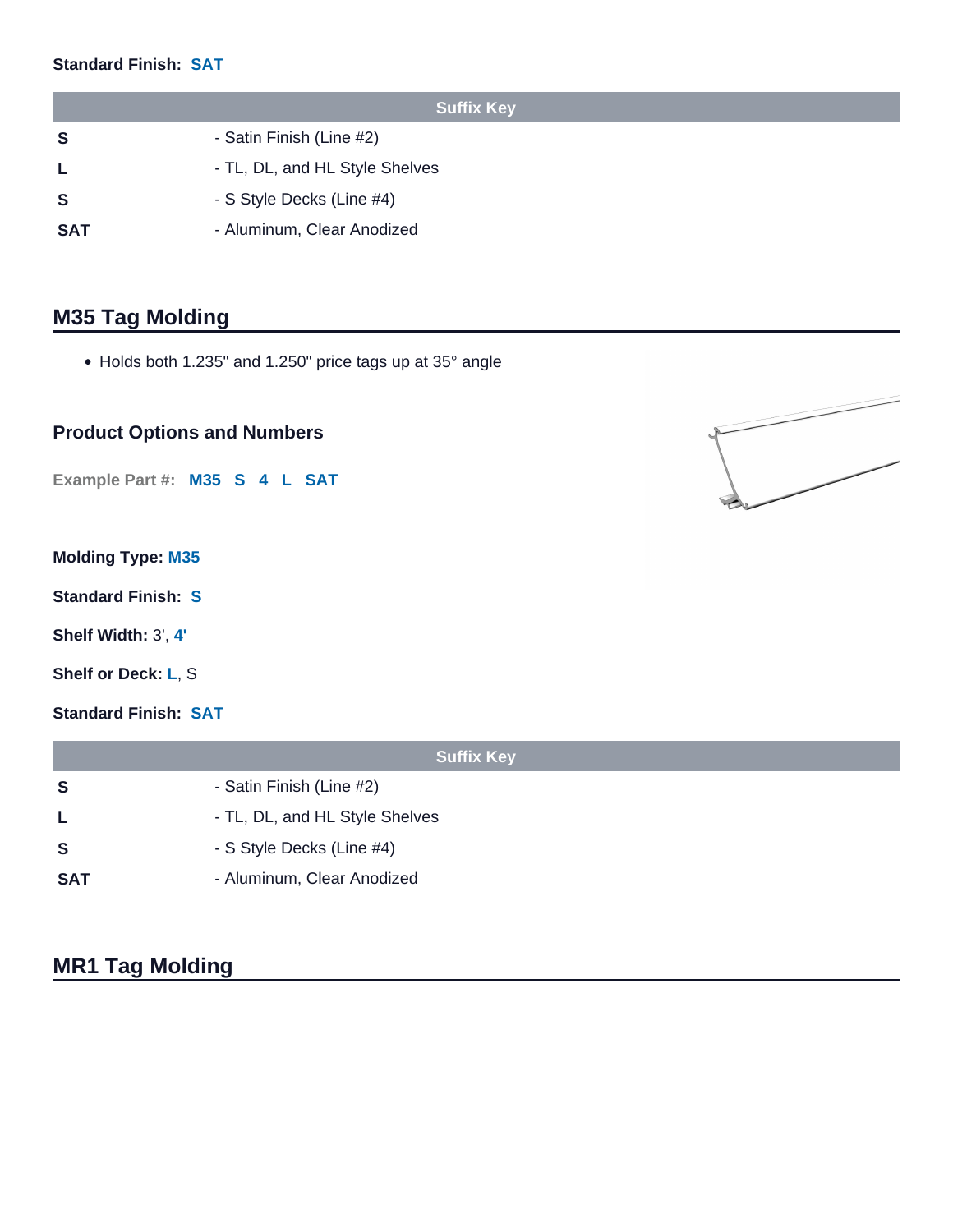#### **Standard Finish: SAT**

|            | <b>Suffix Key</b>              |
|------------|--------------------------------|
| -S         | - Satin Finish (Line #2)       |
|            | - TL, DL, and HL Style Shelves |
| -S         | - S Style Decks (Line #4)      |
| <b>SAT</b> | - Aluminum, Clear Anodized     |

# **M35 Tag Molding**

• Holds both 1.235" and 1.250" price tags up at 35° angle

### **Product Options and Numbers**

**Example Part #: M35 S 4 L SAT** 

### **Molding Type: M35**

**Standard Finish: S**

- **Shelf Width:** 3', **4'**
- **Shelf or Deck: L**, S

**Standard Finish: SAT**

|            | <b>Suffix Key</b>              |
|------------|--------------------------------|
| S          | - Satin Finish (Line #2)       |
| L          | - TL, DL, and HL Style Shelves |
| S          | - S Style Decks (Line #4)      |
| <b>SAT</b> | - Aluminum, Clear Anodized     |

# **MR1 Tag Molding**